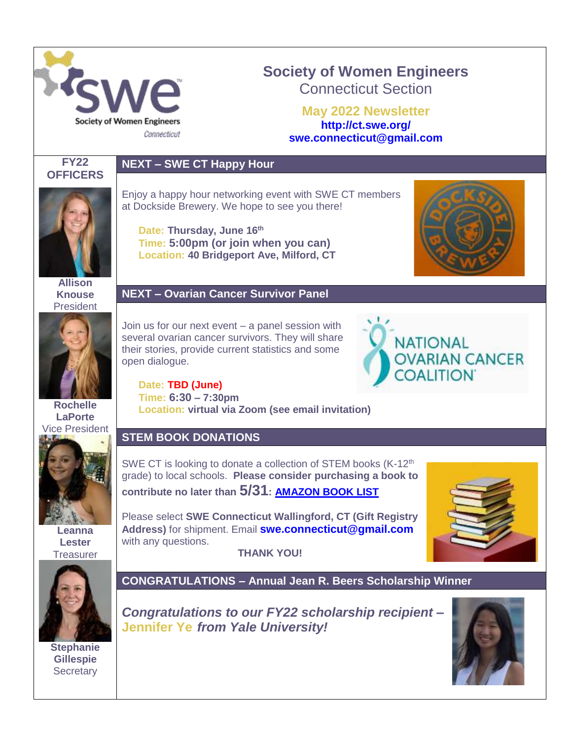

# **Society of Women Engineers** Connecticut Section

**May 2022 Newsletter <http://ct.swe.org/> swe.connecticut@gmail.com**



# **NEXT – SWE CT Happy Hour**



**Allison Knouse** President



**Rochelle LaPorte** Vice President



**Leanna Lester Treasurer** 



**Stephanie Gillespie Secretary** 

Enjoy a happy hour networking event with SWE CT members at Dockside Brewery. We hope to see you there!

**Date: Thursday, June 16th Time: 5:00pm (or join when you can) Location: 40 Bridgeport Ave, Milford, CT**

## **NEXT – Ovarian Cancer Survivor Panel**

Join us for our next event – a panel session with several ovarian cancer survivors. They will share their stories, provide current statistics and some open dialogue.

**Date: TBD (June)**

**Time: 6:30 – 7:30pm Location: virtual via Zoom (see email invitation)**

# **STEM BOOK DONATIONS**

SWE CT is looking to donate a collection of STEM books (K-12<sup>th</sup>) grade) to local schools. **Please consider purchasing a book to contribute no later than 5/31: [AMAZON BOOK LIST](https://www.amazon.com/hz/wishlist/ls/76SCRF3DV8S9?ref_=wl_share)**

Please select **SWE Connecticut Wallingford, CT (Gift Registry Address)** for shipment. Email **[swe.connecticut@gmail.com](mailto:swe.connecticut@gmail.com)** with any questions. **THANK YOU!**



**CONGRATULATIONS – Annual Jean R. Beers Scholarship Winner**

*Congratulations to our FY22 scholarship recipient –* **Jennifer Ye** *from Yale University!* 



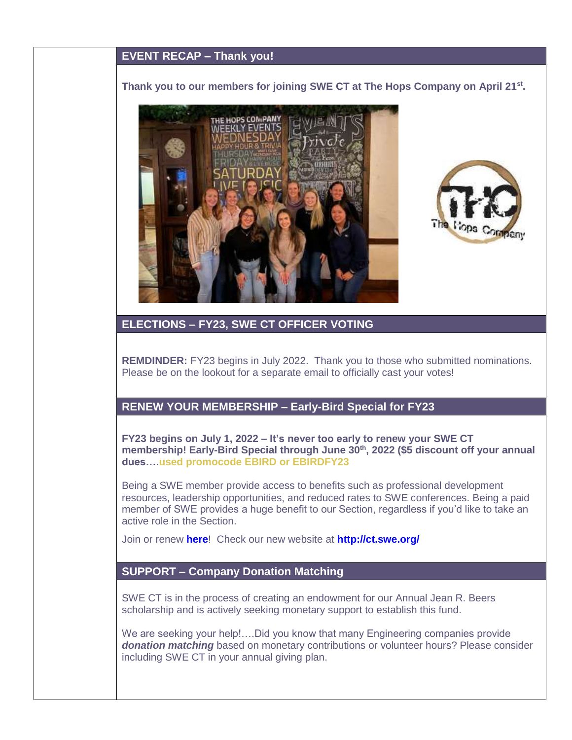## **EVENT RECAP – Thank you!**

#### **Thank you to our members for joining SWE CT at The Hops Company on April 21st .**





#### **ELECTIONS – FY23, SWE CT OFFICER VOTING**

**REMDINDER:** FY23 begins in July 2022. Thank you to those who submitted nominations. Please be on the lookout for a separate email to officially cast your votes!

### **RENEW YOUR MEMBERSHIP – Early-Bird Special for FY23**

**FY23 begins on July 1, 2022 – It's never too early to renew your SWE CT membership! Early-Bird Special through June 30th, 2022 (\$5 discount off your annual dues….used promocode EBIRD or EBIRDFY23**

Being a SWE member provide access to benefits such as professional development resources, leadership opportunities, and reduced rates to SWE conferences. Being a paid member of SWE provides a huge benefit to our Section, regardless if you'd like to take an active role in the Section.

Join or renew **[here](http://societyofwomenengineers.swe.org/membership)**! Check our new website at **<http://ct.swe.org/>**

### **SUPPORT – Company Donation Matching**

SWE CT is in the process of creating an endowment for our Annual Jean R. Beers scholarship and is actively seeking monetary support to establish this fund.

We are seeking your help!....Did you know that many Engineering companies provide **donation matching** based on monetary contributions or volunteer hours? Please consider including SWE CT in your annual giving plan.